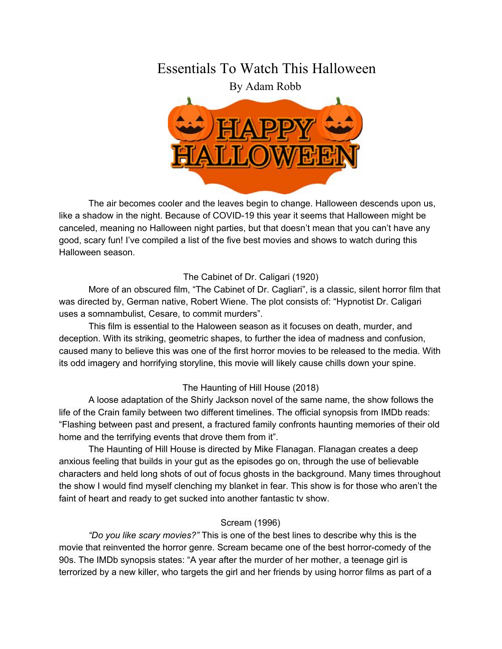# Essentials To Watch This Halloween

By Adam Robb



The air becomes cooler and the leaves begin to change. Halloween descends upon us, like a shadow in the night. Because of COVID-19 this year it seems that Halloween might be canceled, meaning no Halloween night parties, but that doesn't mean that you can't have any good, scary fun! I've compiled a list of the five best movies and shows to watch during this Halloween season.

## The Cabinet of Dr. Caligari (1920)

More of an obscured film, "The Cabinet of Dr. Cagliari", is a classic, silent horror film that was directed by, German native, Robert Wiene. The plot consists of: "Hypnotist Dr. Caligari uses a somnambulist, Cesare, to commit murders".

This film is essential to the Haloween season as it focuses on death, murder, and deception. With its striking, geometric shapes, to further the idea of madness and confusion, caused many to believe this was one of the first horror movies to be released to the media. With its odd imagery and horrifying storyline, this movie will likely cause chills down your spine.

### The Haunting of Hill House (2018)

A loose adaptation of the Shirly Jackson novel of the same name, the show follows the life of the Crain family between two different timelines. The official synopsis from IMDb reads: "Flashing between past and present, a fractured family confronts haunting memories of their old home and the terrifying events that drove them from it".

The Haunting of Hill House is directed by Mike Flanagan. Flanagan creates a deep anxious feeling that builds in your gut as the episodes go on, through the use of believable characters and held long shots of out of focus ghosts in the background. Many times throughout the show I would find myself clenching my blanket in fear. This show is for those who aren't the faint of heart and ready to get sucked into another fantastic tv show.

## Scream (1996)

*"Do you like scary movies?"* This is one of the best lines to describe why this is the movie that reinvented the horror genre. Scream became one of the best horror-comedy of the 90s. The IMDb synopsis states: "A year after the murder of her mother, a teenage girl is terrorized by a new killer, who targets the girl and her friends by using horror films as part of a